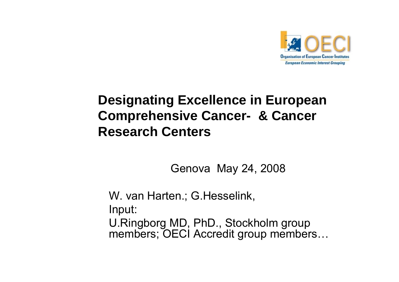

#### **Designating Excellence in European Comprehensive Cancer- & Cancer Research Centers**

Genova May 24, 2008

W. van Harten.; G.Hesselink, Input: U.Ringborg MD, PhD., Stockholm group members; OECI Accredit group members…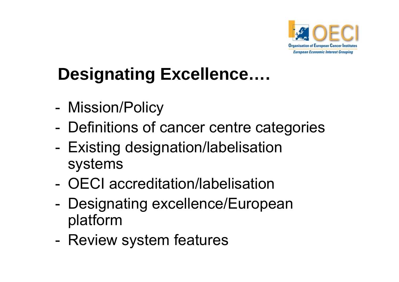

# **Designating Excellence....**

- -Mission/Policy
- -Definitions of cancer centre categories
- - Existing designation/labelisation systems
- OECI accreditation/labelisation
- - Designating excellence/European platform
- -- Review system features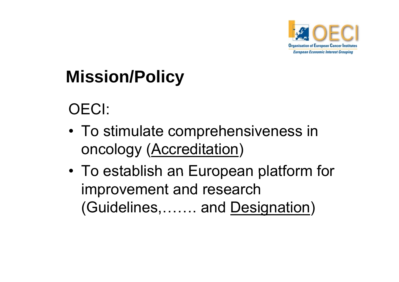

# **Mission/Policy**

## OECI:

- To stimulate comprehensiveness in oncology (<u>Accreditation</u>)
- • To establish an European platform for improvement and research (Guidelines,……. and <u>Designation</u>)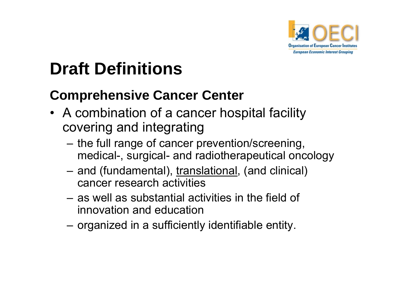

# **Draft Definitions**

### **Comprehensive Cancer Center**

- A combination of a cancer hospital facility covering and integrating
	- the full range of cancer prevention/screening, medical-, surgical- and radiotherapeutical oncology
	- –– and (fundamental), <u>translational,</u> (and clinical) cancer research activities
	- as well as substantial activities in the field of innovation and education
	- organized in a sufficiently identifiable entity.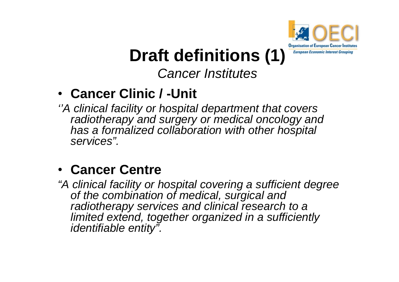

# **Draft definitions (1)**

#### *Cancer Institutes*

### • **Cancer Clinic / -Unit**

*''A clinical facility or hospital department that covers radiotherapy and surgery or medical oncology and has a formalized collaboration with other hospital services".*

#### • **Cancer Centre**

*"A clinical facility or hospital covering a sufficient degree of the combination of medical, surgical and radiotherapy services and clinical research to <sup>a</sup> research to limited extend, together organized in a sufficiently identifiable entity".*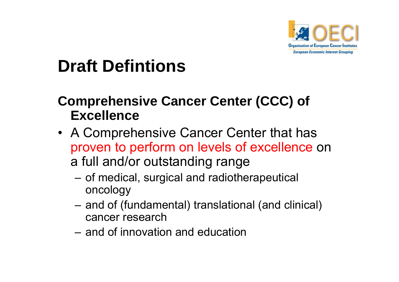

# **Draft Defintions**

#### **Comprehensive Cancer Center (CCC) of Excellence**

- A Comprehensive Cancer Center that has proven to perform on levels of excellence on a full and/or outstanding range
	- – $-$  of medical, surgical and radiotherapeutical oncology
	- –- and of (fundamental) translational (and clinical) cancer research
	- and of innovation and education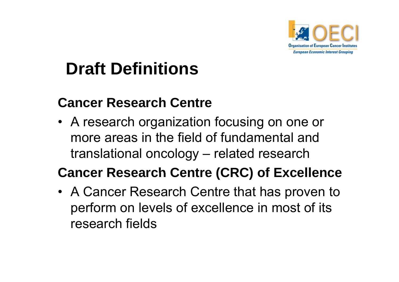

# **Draft Definitions**

#### **Cancer Research Centre**

• A research organization focusing on one or more areas in the field of fundamental and translational oncology – related research

#### **Cancer Research Centre (CRC) of Excellence**

• A Cancer Research Centre that has proven to perform on levels of excellence in most of its research fields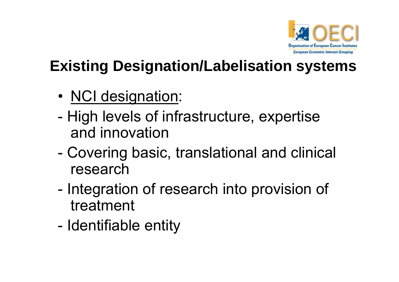

## **Existing Designation/Labelisation systems**

- •NCI designation:
- - High levels of infrastructure, expertise and innovation
- - Covering basic, translational and clinical research
- - Integration of research into provision of treatment
- -Identifiable entity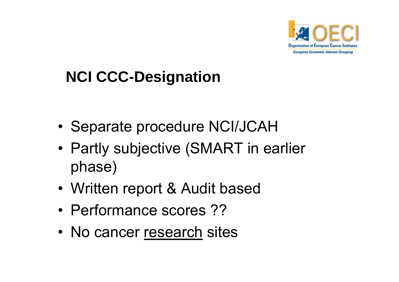

## **NCI CCC CCC-Designation**

- •Separate procedure NCI/JCAH
- • Partly subjective (SMART in earlier phase)
- •Written report & Audit based
- Performance scores ??
- No cancer research sites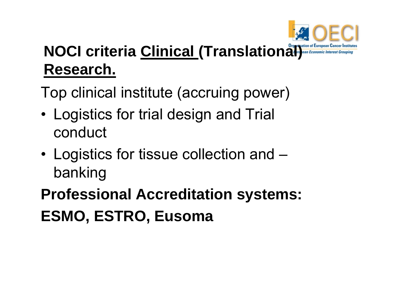

## **NOCI criteria Clinical (Translation of European Cancer Institute Research.**

Top clinical institute (accruing power)

- •• Logistics for trial design and Trial conduct
- • Logistics for tissue collection and – banking

**Professional Accreditation systems: ESMO, ESTRO, Eusoma**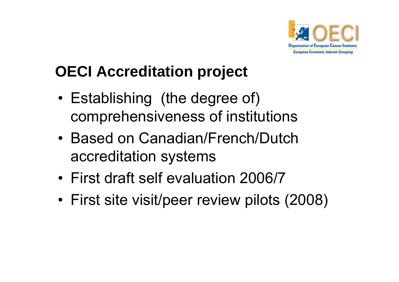

## **OECI Accreditation p j ro ject**

- • Establishing (the degree of) comprehensiveness of institutions
- Based on Canadian/French/Dutch accreditation systems
- First draft self evaluation 2006/7
- •First site visit/peer review pilots (2008)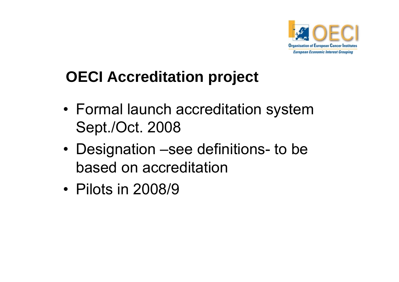

## **OECI Accreditation project**

- Formal launch accreditation system Sept./Oct. 2008
- Designation –see definitions- to be based on accreditation
- Pilots in 2008/9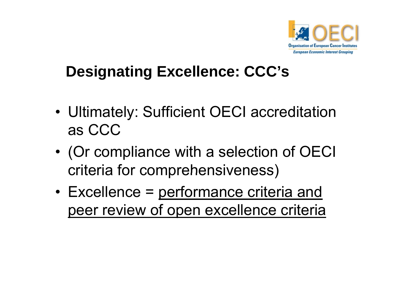

## **Designating Excellence: CCC's**

- •• Ultimately: Sufficient OECI accreditation as CCC
- • (Or compliance with a selection of OECI criteria for comprehensiveness)
- •Excellence = performance criteria and peer review of open excellence criteria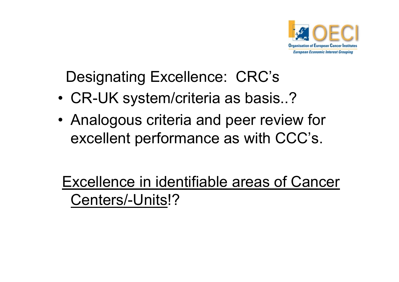

Designating Excellence: CRC's

- •CR-UK system/criteria as basis..?
- • Analogous criteria and peer review for excellent performance as with CCC's.

Excellence in identifiable areas of Cancer Centers/-Units!?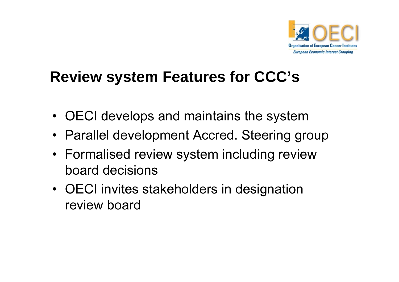

## **Review system Features for CCC s'**

- OECI develops and maintains the system
- Parallel development Accred. Steering group
- Formalised review system including review board decisions
- OECI invites stakeholders in designation review board\_\_\_\_\_\_\_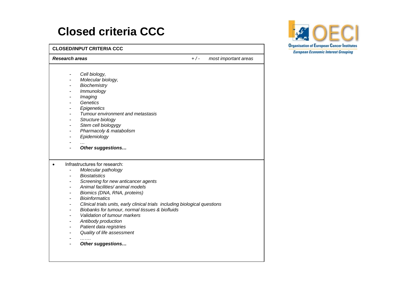#### **Closed criteria CCC**

**CLOSED/INPUT CRITERIA CCC**

*Research areas + / - most important areas*

- -*Cell biology,*
- -*Molecular biology,*
- -*Biochemistry*
- -*Immunology*
- -*Imaging*
- - *Genetics Epigenetics*
- -*Tumour environment and metastasis*
- -*Structure biology*
- -*Stem cell biologygy*
- -*Pharmacoly & matabolism*
- -*Epidemiology*
- *…*
- -*Other suggestions…*
- • Infrastructures for research:
	- -*Molecular pathology*
	- -*Biostatistics*
	- -*Screening for new anticancer agents*
	- -*Animal facilities/ animal models*
	- -*Biomics (DNA, RNA, proteins)*
	- - *Bioinformatics Clinical trials units early clinical units, trials including biological questions questions*
	- -*Biobanks for tumour, normal tissues & biofluids*
	- -*Validation of tumour markers*
	- -*Antibody production*
	- -*Patient data registries*
	- -*Quality of life assessment*

-*…….*

-*Other suggestions…*

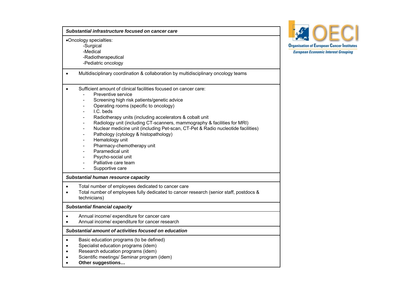| Substantial infrastructure focused on cancer care                                                                                                                                                                                                                                                                                                                                                                                                                                                                                                                                                                                                                                                                                                                 |
|-------------------------------------------------------------------------------------------------------------------------------------------------------------------------------------------------------------------------------------------------------------------------------------------------------------------------------------------------------------------------------------------------------------------------------------------------------------------------------------------------------------------------------------------------------------------------------------------------------------------------------------------------------------------------------------------------------------------------------------------------------------------|
| •Oncology specialties:<br>-Surgical<br>-Medical<br>-Radiotherapeutical<br>-Pediatric oncology                                                                                                                                                                                                                                                                                                                                                                                                                                                                                                                                                                                                                                                                     |
| Multidisciplinary coordination & collaboration by multidisciplinary oncology teams                                                                                                                                                                                                                                                                                                                                                                                                                                                                                                                                                                                                                                                                                |
| Sufficient amount of clinical facilities focused on cancer care:<br>Preventive service<br>Screening high risk patients/genetic advice<br>$\overline{\phantom{a}}$<br>Operating rooms (specific to oncology)<br>I.C. beds<br>$\blacksquare$<br>Radiotherapy units (including accelerators & cobalt unit<br>$\blacksquare$<br>Radiology unit (including CT-scanners, mammography & facilities for MRI)<br>$\blacksquare$<br>Nuclear medicine unit (including Pet-scan, CT-Pet & Radio nucleotide facilities)<br>$\blacksquare$<br>Pathology (cytology & histopathology)<br>$\blacksquare$<br>Hematology unit<br>$\blacksquare$<br>Pharmacy-chemotherapy unit<br>$\blacksquare$<br>Paramedical unit<br>Psycho-social unit<br>Palliative care team<br>Supportive care |
| Substantial human resource capacity                                                                                                                                                                                                                                                                                                                                                                                                                                                                                                                                                                                                                                                                                                                               |
| Total number of employees dedicated to cancer care<br>Total number of employees fully dedicated to cancer research (senior staff, postdocs &<br>technicians)                                                                                                                                                                                                                                                                                                                                                                                                                                                                                                                                                                                                      |
| <b>Substantial financial capacity</b>                                                                                                                                                                                                                                                                                                                                                                                                                                                                                                                                                                                                                                                                                                                             |
| Annual income/ expenditure for cancer care<br>Annual income/ expenditure for cancer research                                                                                                                                                                                                                                                                                                                                                                                                                                                                                                                                                                                                                                                                      |
| Substantial amount of activities focused on education                                                                                                                                                                                                                                                                                                                                                                                                                                                                                                                                                                                                                                                                                                             |
| Basic education programs (to be defined)<br>$\bullet$<br>Specialist education programs (idem)<br>Research education programs (idem)<br>Scientific meetings/ Seminar program (idem)<br>Other suggestions                                                                                                                                                                                                                                                                                                                                                                                                                                                                                                                                                           |

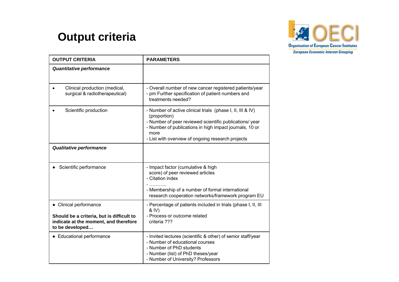#### **Output criteria**



| <b>OUTPUT CRITERIA</b>                                                                                                          | <b>PARAMETERS</b>                                                                                                                                                                                                                                             |
|---------------------------------------------------------------------------------------------------------------------------------|---------------------------------------------------------------------------------------------------------------------------------------------------------------------------------------------------------------------------------------------------------------|
| <b>Quantitative performance</b>                                                                                                 |                                                                                                                                                                                                                                                               |
| Clinical production (medical,<br>surgical & radiotherapeutical)                                                                 | - Overall number of new cancer registered patients/year<br>- pm Further specification of patient numbers and<br>treatments needed?                                                                                                                            |
| Scientific production                                                                                                           | - Number of active clinical trials (phase I, II, III & IV)<br>(proportion)<br>- Number of peer reviewed scientific publications/ year<br>- Number of publications in high impact journals, 10 or<br>more<br>- List with overview of ongoing research projects |
| Qualitative performance                                                                                                         |                                                                                                                                                                                                                                                               |
| Scientific performance                                                                                                          | - Impact factor (cumulative & high<br>score) of peer reviewed articles<br>- Citation index<br>- Membership of a number of formal international<br>research cooperation networks/framework program EU                                                          |
| • Clinical performance<br>Should be a criteria, but is difficult to<br>indicate at the moment, and therefore<br>to be developed | - Percentage of patients included in trials (phase I, II, III<br>& IV)<br>- Process or outcome related<br>criteria ???                                                                                                                                        |
| • Educational performance                                                                                                       | - Invited lectures (scientific & other) of senior staff/year<br>- Number of educational courses<br>- Number of PhD students<br>- Number (list) of PhD theses/year<br>- Number of University? Professors                                                       |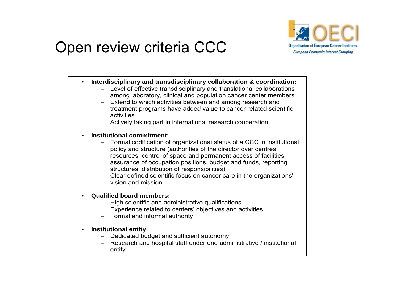

### Open review criteria CCC

•**Interdisciplinary and transdisciplinary collaboration & coordination:**

- Level of effective transdisciplinary and translational collaborations among laboratory, clinical and population cancer center members
- Extend to which activities between and among research and treatment programs have added value to cancer related scientific activities
- Actively taking part in international research cooperation
- • **Institutional commitment:**
	- $\,$  Formal codification of organizational status of a CCC in institutional policy and structure (authorities of the director over centres resources, control of space and permanent access of facilities, assurance of occupation positions, budget and funds, reporting structures, distribution of responsibilities)
	- Clear defined scientific focus on cancer care in the organizations' vision and mission
- • **Qualified board members:**
	- High scientific and administrative qualifications
	- Experience related to centers' objectives and activities
	- Formal and informal authority
- $\bullet$  **Institutional entity**
	- Dedicated budget and sufficient autonomy
	- Research and hospital staff under one administrative / institutional entity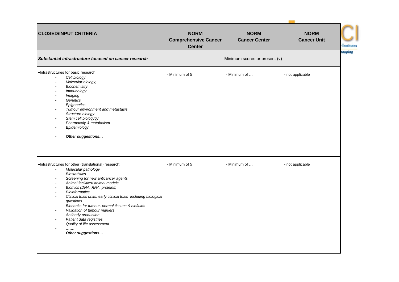| <b>CLOSED/INPUT CRITERIA</b>                                                                                                                                                                                                                                                                                                                                                                                                                                                                                                                                    | <b>NORM</b>                                  | <b>NORM</b>          | <b>NORM</b>        |
|-----------------------------------------------------------------------------------------------------------------------------------------------------------------------------------------------------------------------------------------------------------------------------------------------------------------------------------------------------------------------------------------------------------------------------------------------------------------------------------------------------------------------------------------------------------------|----------------------------------------------|----------------------|--------------------|
|                                                                                                                                                                                                                                                                                                                                                                                                                                                                                                                                                                 | <b>Comprehensive Cancer</b><br><b>Center</b> | <b>Cancer Center</b> | <b>Cancer Unit</b> |
| Substantial infrastructure focused on cancer research                                                                                                                                                                                                                                                                                                                                                                                                                                                                                                           | Minimum scores or present (v)                |                      |                    |
| .Infrastructures for basic research:<br>Cell biology,<br>Molecular biology,<br>$\blacksquare$<br>Biochemistry<br>Immunology<br>$\overline{\phantom{a}}$<br>Imaging<br>Genetics<br>Epigenetics<br>Tumour environment and metastasis<br>Structure biology<br>Stem cell biologygy<br>Pharmacoly & matabolism<br>Epidemiology<br>$\ddotsc$<br>Other suggestions                                                                                                                                                                                                     | Minimum of 5                                 | Minimum of           | - not applicable   |
| .Infrastructures for other (translational) research:<br>Molecular pathology<br>$\overline{\phantom{a}}$<br><b>Biostatistics</b><br>$\blacksquare$<br>Screening for new anticancer agents<br>Animal facilities/ animal models<br>Biomics (DNA, RNA, proteins)<br><b>Bioinformatics</b><br>Clinical trials units, early clinical trials including biological<br>questions<br>Biobanks for tumour, normal tissues & biofluids<br>Validation of tumour markers<br>Antibody production<br>Patient data registries<br>Quality of life assessment<br>Other suggestions | - Minimum of 5                               | Minimum of           | - not applicable   |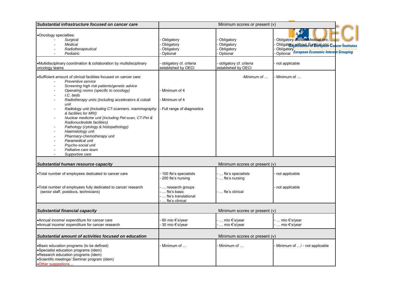| Substantial infrastructure focused on cancer care                                                                                                                                                                                                                                                                                                                                                                                                                                                                                                                                                                 | Minimum scores or present $(v)$                                              |                                                         |                                                                                                                                                     |  |
|-------------------------------------------------------------------------------------------------------------------------------------------------------------------------------------------------------------------------------------------------------------------------------------------------------------------------------------------------------------------------------------------------------------------------------------------------------------------------------------------------------------------------------------------------------------------------------------------------------------------|------------------------------------------------------------------------------|---------------------------------------------------------|-----------------------------------------------------------------------------------------------------------------------------------------------------|--|
| •Oncology specialties:<br>Surgical<br>Medical<br>Radiotherapeutical<br>Pediatric                                                                                                                                                                                                                                                                                                                                                                                                                                                                                                                                  | Obligatory<br>Obligatory<br>Obligatory<br>Optional                           | Obligatory<br>Obligatory<br>Obligatory<br>Optional      | Obligatory without Medical onc.<br>Obligatory without Surgical page Cancer Institutes<br>Obligatory<br>Optional European Economic Interest Grouping |  |
| •Multidisciplinary coordination & collaboration by multidisciplinary<br>oncology teams                                                                                                                                                                                                                                                                                                                                                                                                                                                                                                                            | obligatory cf. criteria<br>established by OECI                               | obligatory cf. criteria<br>established by OECI          | not applicable                                                                                                                                      |  |
| .Sufficient amount of clinical facilities focused on cancer care:<br>Preventive service<br>Screening high risk patients/genetic advice<br>Operating rooms (specific to oncology)<br>I.C. beds<br>Radiotherapy units (including accelerators & cobalt<br>unit<br>Radiology unit (including CT-scanners, mammography<br>& facilities for MRI)<br>Nuclear medicine unit (including Pet-scan, CT-Pet &<br>Radionucleotide facilities)<br>Pathology (cytology & histopathology)<br>Haematology unit<br>Pharmacy-chemotherapy unit<br>Paramedical unit<br>Psycho-social unit<br>Palliative care team<br>Supportive care | Minimum of 4<br>Minimum of 4<br>- Full range of diagnostics                  | -Minimum of $\dots$                                     | Minimum of                                                                                                                                          |  |
| Substantial human resource capacity                                                                                                                                                                                                                                                                                                                                                                                                                                                                                                                                                                               |                                                                              | Minimum scores or present $(v)$                         |                                                                                                                                                     |  |
| . Total number of employees dedicated to cancer care<br>. Total number of employees fully dedicated to cancer research<br>(senior staff, postdocs, technicians)                                                                                                                                                                                                                                                                                                                                                                                                                                                   | 100 fte's specialists<br>200 fte's nursing<br>research groups<br>fte's basic | fte's specialists<br>fte's nursing<br>.  fte's clinical | not applicable<br>not applicable                                                                                                                    |  |
|                                                                                                                                                                                                                                                                                                                                                                                                                                                                                                                                                                                                                   | fte's translational<br>fte's clinical                                        |                                                         |                                                                                                                                                     |  |
| <b>Substantial financial capacity</b>                                                                                                                                                                                                                                                                                                                                                                                                                                                                                                                                                                             |                                                                              | Minimum scores or present $(v)$                         |                                                                                                                                                     |  |
| •Annual income/ expenditure for cancer care<br>•Annual income/ expenditure for cancer research                                                                                                                                                                                                                                                                                                                                                                                                                                                                                                                    | 60 mio €'s/year<br>30 mio €'s/year                                           | · … mio €'s/year<br>-  mio €'s/year                     | · … mio €'s/year<br>- … mio €'s/year                                                                                                                |  |
| Substantial amount of activities focused on education                                                                                                                                                                                                                                                                                                                                                                                                                                                                                                                                                             |                                                                              | Minimum scores or present $(v)$                         |                                                                                                                                                     |  |
| .Basic education programs (to be defined)<br>•Specialist education programs (idem)<br>•Research education programs (idem)<br>•Scientific meetings/ Seminar program (idem)<br>•Other suggestions                                                                                                                                                                                                                                                                                                                                                                                                                   | Minimum of                                                                   | Minimum of                                              | Minimum of / - not applicable                                                                                                                       |  |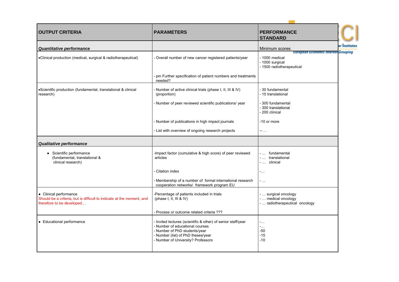| <b>OUTPUT CRITERIA</b>                                                                                                       | <b>PARAMETERS</b>                                                                                                                                                                                      | <b>PERFORMANCE</b><br><b>STANDARD</b>                                                                        |               |
|------------------------------------------------------------------------------------------------------------------------------|--------------------------------------------------------------------------------------------------------------------------------------------------------------------------------------------------------|--------------------------------------------------------------------------------------------------------------|---------------|
| Quantitative performance                                                                                                     |                                                                                                                                                                                                        | Minimum scores                                                                                               | er Institutes |
| •Clinical production (medical, surgical & radiotherapeutical)                                                                | Overall number of new cancer registered patients/year                                                                                                                                                  | <b>European Economic Interest Grouping</b><br>- 1000 medical<br>- 1000 surgical<br>- 1500 radiotherapeutical |               |
|                                                                                                                              | pm Further specification of patient numbers and treatments<br>needed?                                                                                                                                  |                                                                                                              |               |
| •Scientific production (fundamental, translational & clinical<br>research)                                                   | Number of active clinical trials (phase I, II, III & IV)<br>(proportion)                                                                                                                               | - 30 fundamental<br>- 15 translational                                                                       |               |
|                                                                                                                              | Number of peer reviewed scientific publications/ year                                                                                                                                                  | - 300 fundamental<br>- 300 translational<br>- 200 clinical                                                   |               |
|                                                                                                                              | Number of publications in high impact journals                                                                                                                                                         | -10 or more                                                                                                  |               |
|                                                                                                                              | List with overview of ongoing research projects                                                                                                                                                        | --                                                                                                           |               |
| Qualitative performance                                                                                                      |                                                                                                                                                                                                        |                                                                                                              |               |
| • Scientific performance<br>(fundamental, translational &<br>clinical research)                                              | Impact factor (cumulative & high score) of peer reviewed<br>articles                                                                                                                                   | - fundamental<br>-  translational<br>-  clinical                                                             |               |
|                                                                                                                              | Citation index                                                                                                                                                                                         | $\sim$ .                                                                                                     |               |
|                                                                                                                              | Membership of a number of formal international research<br>cooperation networks/ framework program EU                                                                                                  | $-$                                                                                                          |               |
| • Clinical performance<br>Should be a criteria, but is difficult to indicate at the moment, and<br>therefore to be developed | -Percentage of patients included in trials<br>(phase I, II, III & IV)                                                                                                                                  | -  surgical oncology<br>-  medical oncology<br>-  radiotherapeutical oncology                                |               |
|                                                                                                                              | Process or outcome related criteria ???                                                                                                                                                                |                                                                                                              |               |
| • Educational performance                                                                                                    | Invited lectures (scientific & other) of senior staff/year<br>Number of educational courses<br>Number of PhD students/year<br>- Number (list) of PhD theses/year<br>- Number of University? Professors | -<br>-.<br>$-50$<br>$-15$<br>$-10$                                                                           |               |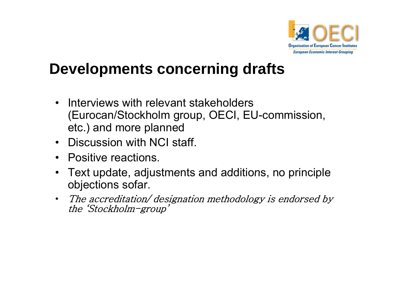

## **Developments concerning drafts**

- • Interviews with relevant stakeholders (Eurocan/Stockholm group, OECI, EU-commission, etc.) and more planned
- Discussion with NCI staff.
- Positive reactions.
- $\bullet$ Text update, adjustments and additions, no principle objections sofar.
- • The accreditation/ designation methodology is endorsed by the 'Stockholm-group'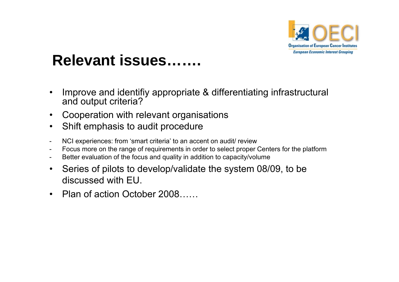

## **Relevant issues…….**

- $\bullet$  Improve and identifiy appropriate & differentiating infrastructural and output criteria?
- $\bullet$ Cooperation with relevant organisations
- $\bullet$ Shift emphasis to audit procedure
- -NCI experiences: from 'smart criteria' to an accent on audit/ review
- -Focus more on the range of requirements in order to select proper Centers for the platform
- -Better evaluation of the focus and quality in addition to capacity/volume
- $\bullet$ Series of pilots to develop/validate the system 08/09, to be discussed with EU.
- Plan of action October 2008……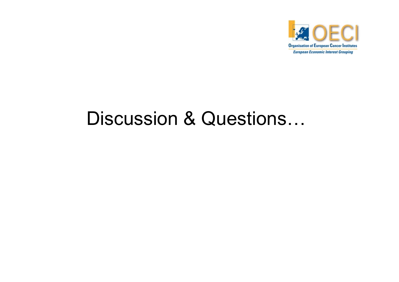

# Discussion & Questions…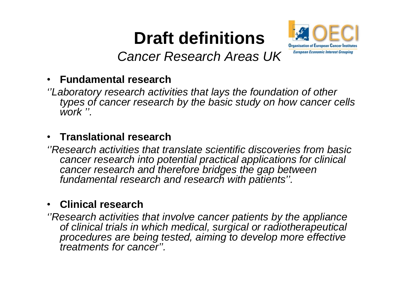# **Draft definitions**



*Cancer Research Areas UK*

#### •**F d tl h Fun damental researc**

*''Laboratory research activities that lays the foundation of other types of cancer research by the basic study on how cancer cells work ''.*

#### •**Translational research**

*''Research activities that translate scientific discoveries from basic cancer research into potential practical applications for clinical cancer research and therefore bridges the gap between research therefore fundamental research and research with patients''.*

#### •**Clinical research**

*''Research activities that involve cancer patients by the appliance of clinical trials in which medical, surgical or radiotherapeutical procedures are being tested aiming to develop more effective tested, effective treatments for cancer''.*